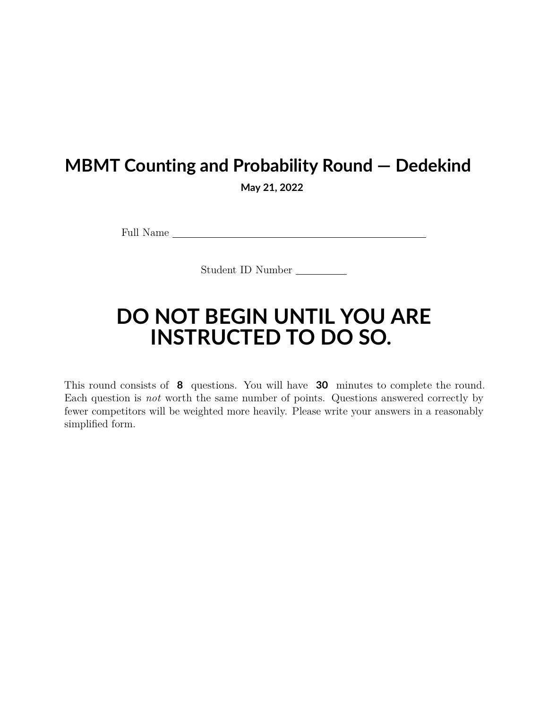## **MBMT Counting and Probability Round — Dedekind**

**May 21, 2022**

Full Name

Student ID Number

## **DO NOT BEGIN UNTIL YOU ARE INSTRUCTED TO DO SO.**

This round consists of **8** questions. You will have **30** minutes to complete the round. Each question is *not* worth the same number of points. Questions answered correctly by fewer competitors will be weighted more heavily. Please write your answers in a reasonably simplified form.